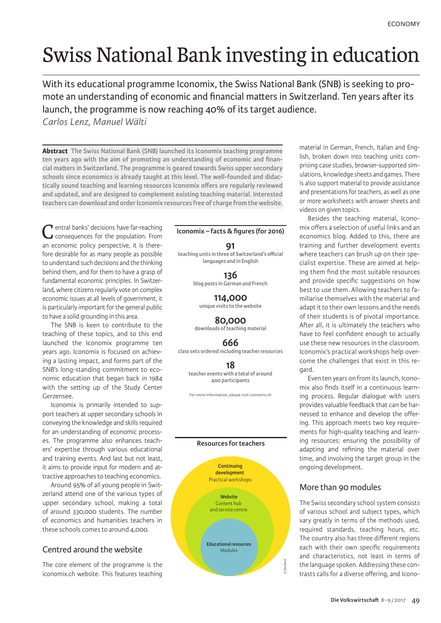# Swiss National Bank investing in education

With its educational programme Iconomix, the Swiss National Bank (SNB) is seeking to promote an understanding of economic and financial matters in Switzerland. Ten years after its launch, the programme is now reaching 40% of its target audience.

*Carlos Lenz, Manuel Wälti*

**Abstract The Swiss National Bank (SNB) launched its Iconomix teaching programme ten years ago with the aim of promoting an understanding of economic and financial matters in Switzerland. The programme is geared towards Swiss upper secondary schools since economics is already taught at this level. The well-founded and didactically sound teaching and learning resources Iconomix offers are regularly reviewed and updated, and are designed to complement existing teaching material. Interested teachers can download and order Iconomix resources free of charge from the website.**

**T** entral banks' decisions have far-reaching consequences for the population. From an economic policy perspective, it is therefore desirable for as many people as possible to understand such decisions and the thinking behind them, and for them to have a grasp of fundamental economic principles. In Switzerland, where citizens regularly vote on complex economic issues at all levels of government, it is particularly important for the general public to have a solid grounding in this area.

The SNB is keen to contribute to the teaching of these topics, and to this end launched the Iconomix programme ten years ago. Iconomix is focused on achieving a lasting impact, and forms part of the SNB's long-standing commitment to economic education that began back in 1984 with the setting up of the Study Center Gerzensee.

Iconomix is primarily intended to support teachers at upper secondary schools in conveying the knowledge and skills required for an understanding of economic processes. The programme also enhances teachers' expertise through various educational and training events. And last but not least, it aims to provide input for modern and attractive approaches to teaching economics.

Around 95% of all young people in Switzerland attend one of the various types of upper secondary school, making a total of around 330,000 students. The number of economics and humanities teachers in these schools comes to around 4,000.

# Centred around the website

The core element of the programme is the iconomix.ch website. This features teaching

#### **Iconomix – facts & figures (for 2016)**

#### **91**

**teaching units in three of Switzerland's official languages and in English**

> **136 blog posts in German and French**

**114,000 unique visits to the website**

**80,000 downloads of teaching material**

**666 class sets ordered including teacher resources**

**18 teacher events with a total of around 400 participants**

For more information, please visit iconomix.ch



material in German, French, Italian and English, broken down into teaching units comprising case studies, browser-supported simulations, knowledge sheets and games. There is also support material to provide assistance and presentations for teachers, as well as one or more worksheets with answer sheets and videos on given topics.

Besides the teaching material, Iconomix offers a selection of useful links and an economics blog. Added to this, there are training and further development events where teachers can brush up on their specialist expertise. These are aimed at helping them find the most suitable resources and provide specific suggestions on how best to use them. Allowing teachers to familiarise themselves with the material and adapt it to their own lessons and the needs of their students is of pivotal importance. After all, it is ultimately the teachers who have to feel confident enough to actually use these new resources in the classroom. Iconomix's practical workshops help overcome the challenges that exist in this regard.

Even ten years on from its launch, Iconomix also finds itself in a continuous learning process. Regular dialogue with users provides valuable feedback that can be harnessed to enhance and develop the offering. This approach meets two key requirements for high-quality teaching and learning resources: ensuring the possibility of adapting and refining the material over time, and involving the target group in the ongoing development.

# More than 90 modules

The Swiss secondary school system consists of various school and subject types, which vary greatly in terms of the methods used, required standards, teaching hours, etc. The country also has three different regions each with their own specific requirements and characteristics, not least in terms of the language spoken. Addressing these contrasts calls for a diverse offering, and Icono-